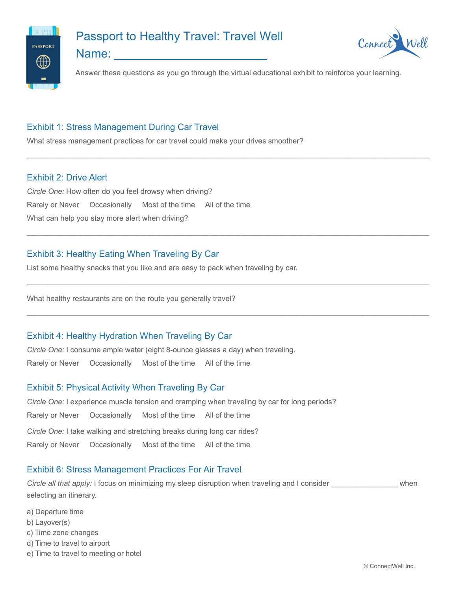

# Passport to Healthy Travel: Travel Well

Name:



Answer these questions as you go through the virtual educational exhibit to reinforce your learning.

 $\Box$ 

 $\Box$ 

 $\Box$ 

 $\Box$ 

## Exhibit 1: Stress Management During Car Travel

What stress management practices for car travel could make your drives smoother?

#### Exhibit 2: Drive Alert

*Circle One:* How often do you feel drowsy when driving? Rarely or Never Occasionally Most of the time All of the time What can help you stay more alert when driving?

## Exhibit 3: Healthy Eating When Traveling By Car

List some healthy snacks that you like and are easy to pack when traveling by car.

What healthy restaurants are on the route you generally travel?

#### Exhibit 4: Healthy Hydration When Traveling By Car

*Circle One:* I consume ample water (eight 8-ounce glasses a day) when traveling.

Rarely or Never Occasionally Most of the time All of the time

## Exhibit 5: Physical Activity When Traveling By Car

*Circle One:* I experience muscle tension and cramping when traveling by car for long periods? Rarely or Never Occasionally Most of the time All of the time *Circle One:* I take walking and stretching breaks during long car rides? Rarely or Never Occasionally Most of the time All of the time

## Exhibit 6: Stress Management Practices For Air Travel

*Circle all that apply:* I focus on minimizing my sleep disruption when traveling and I consider **The Constant Window** selecting an itinerary.

- a) Departure time
- b) Layover(s)
- c) Time zone changes
- d) Time to travel to airport
- e) Time to travel to meeting or hotel